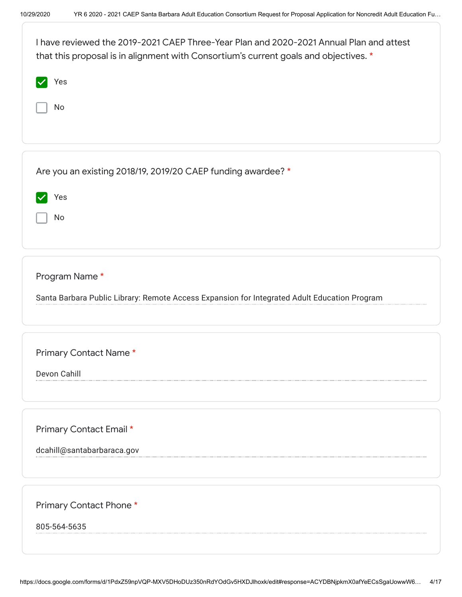| I have reviewed the 2019-2021 CAEP Three-Year Plan and 2020-2021 Annual Plan and attest<br>that this proposal is in alignment with Consortium's current goals and objectives. * |
|---------------------------------------------------------------------------------------------------------------------------------------------------------------------------------|
| Yes                                                                                                                                                                             |
| No                                                                                                                                                                              |
|                                                                                                                                                                                 |
| Are you an existing 2018/19, 2019/20 CAEP funding awardee? *                                                                                                                    |
| Yes                                                                                                                                                                             |
| No                                                                                                                                                                              |
|                                                                                                                                                                                 |
| Program Name*                                                                                                                                                                   |
| Santa Barbara Public Library: Remote Access Expansion for Integrated Adult Education Program                                                                                    |
|                                                                                                                                                                                 |
| Primary Contact Name*                                                                                                                                                           |
| Devon Cahill                                                                                                                                                                    |
|                                                                                                                                                                                 |
|                                                                                                                                                                                 |
| Primary Contact Email *<br>dcahill@santabarbaraca.gov                                                                                                                           |
|                                                                                                                                                                                 |
|                                                                                                                                                                                 |
| Primary Contact Phone *                                                                                                                                                         |
| 805-564-5635                                                                                                                                                                    |
|                                                                                                                                                                                 |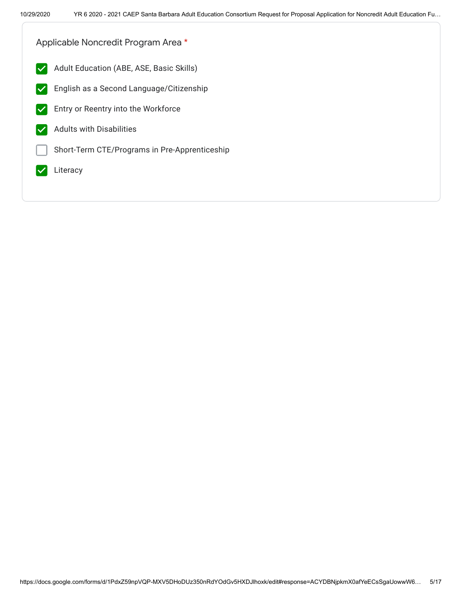Applicable Noncredit Program Area \*

- Adult Education (ABE, ASE, Basic Skills)  $\vert\bm{\vee}\vert$
- $|\boldsymbol{\mathcal{p}}|$ English as a Second Language/Citizenship
- Entry or Reentry into the Workforce
- Adults with Disabilities  $\blacktriangledown$
- Short-Term CTE/Programs in Pre-Apprenticeship
- Literacy  $\blacktriangledown$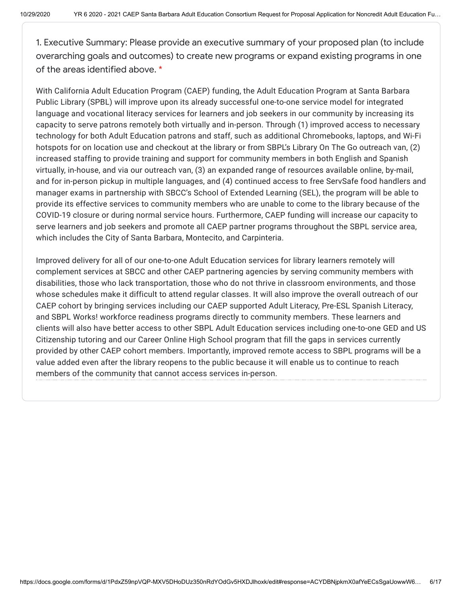1. Executive Summary: Please provide an executive summary of your proposed plan (to include overarching goals and outcomes) to create new programs or expand existing programs in one of the areas identified above. \*

With California Adult Education Program (CAEP) funding, the Adult Education Program at Santa Barbara Public Library (SPBL) will improve upon its already successful one-to-one service model for integrated language and vocational literacy services for learners and job seekers in our community by increasing its capacity to serve patrons remotely both virtually and in-person. Through (1) improved access to necessary technology for both Adult Education patrons and staff, such as additional Chromebooks, laptops, and Wi-Fi hotspots for on location use and checkout at the library or from SBPL's Library On The Go outreach van, (2) increased staffing to provide training and support for community members in both English and Spanish virtually, in-house, and via our outreach van, (3) an expanded range of resources available online, by-mail, and for in-person pickup in multiple languages, and (4) continued access to free ServSafe food handlers and manager exams in partnership with SBCC's School of Extended Learning (SEL), the program will be able to provide its effective services to community members who are unable to come to the library because of the COVID-19 closure or during normal service hours. Furthermore, CAEP funding will increase our capacity to serve learners and job seekers and promote all CAEP partner programs throughout the SBPL service area, which includes the City of Santa Barbara, Montecito, and Carpinteria.

Improved delivery for all of our one-to-one Adult Education services for library learners remotely will complement services at SBCC and other CAEP partnering agencies by serving community members with disabilities, those who lack transportation, those who do not thrive in classroom environments, and those whose schedules make it difficult to attend regular classes. It will also improve the overall outreach of our CAEP cohort by bringing services including our CAEP supported Adult Literacy, Pre-ESL Spanish Literacy, and SBPL Works! workforce readiness programs directly to community members. These learners and clients will also have better access to other SBPL Adult Education services including one-to-one GED and US Citizenship tutoring and our Career Online High School program that fill the gaps in services currently provided by other CAEP cohort members. Importantly, improved remote access to SBPL programs will be a value added even after the library reopens to the public because it will enable us to continue to reach members of the community that cannot access services in-person.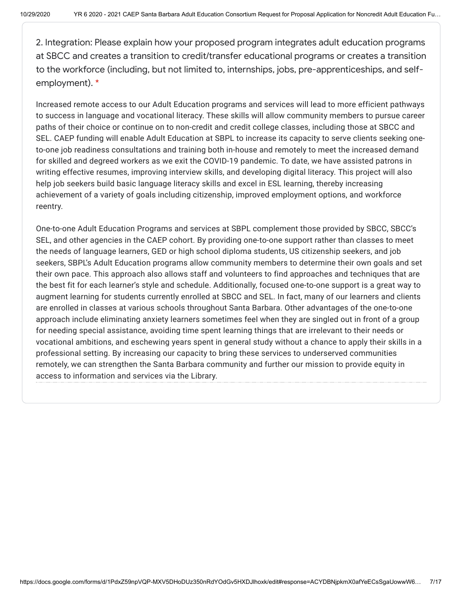2. Integration: Please explain how your proposed program integrates adult education programs at SBCC and creates a transition to credit/transfer educational programs or creates a transition to the workforce (including, but not limited to, internships, jobs, pre-apprenticeships, and selfemployment). \*

Increased remote access to our Adult Education programs and services will lead to more efficient pathways to success in language and vocational literacy. These skills will allow community members to pursue career paths of their choice or continue on to non-credit and credit college classes, including those at SBCC and SEL. CAEP funding will enable Adult Education at SBPL to increase its capacity to serve clients seeking oneto-one job readiness consultations and training both in-house and remotely to meet the increased demand for skilled and degreed workers as we exit the COVID-19 pandemic. To date, we have assisted patrons in writing effective resumes, improving interview skills, and developing digital literacy. This project will also help job seekers build basic language literacy skills and excel in ESL learning, thereby increasing achievement of a variety of goals including citizenship, improved employment options, and workforce reentry.

One-to-one Adult Education Programs and services at SBPL complement those provided by SBCC, SBCC's SEL, and other agencies in the CAEP cohort. By providing one-to-one support rather than classes to meet the needs of language learners, GED or high school diploma students, US citizenship seekers, and job seekers, SBPL's Adult Education programs allow community members to determine their own goals and set their own pace. This approach also allows staff and volunteers to find approaches and techniques that are the best fit for each learner's style and schedule. Additionally, focused one-to-one support is a great way to augment learning for students currently enrolled at SBCC and SEL. In fact, many of our learners and clients are enrolled in classes at various schools throughout Santa Barbara. Other advantages of the one-to-one approach include eliminating anxiety learners sometimes feel when they are singled out in front of a group for needing special assistance, avoiding time spent learning things that are irrelevant to their needs or vocational ambitions, and eschewing years spent in general study without a chance to apply their skills in a professional setting. By increasing our capacity to bring these services to underserved communities remotely, we can strengthen the Santa Barbara community and further our mission to provide equity in access to information and services via the Library.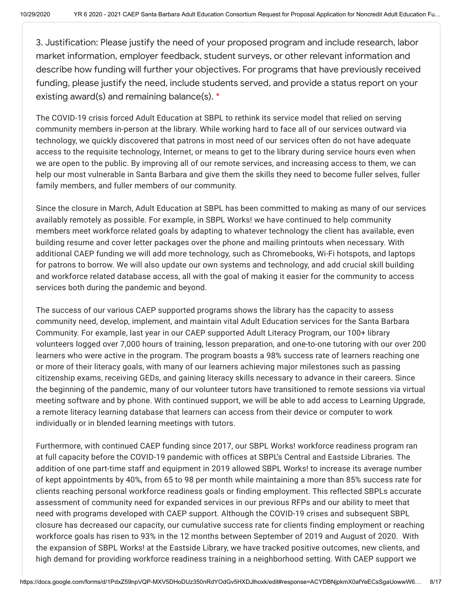3. Justification: Please justify the need of your proposed program and include research, labor market information, employer feedback, student surveys, or other relevant information and describe how funding will further your objectives. For programs that have previously received funding, please justify the need, include students served, and provide a status report on your existing award(s) and remaining balance(s). \*

The COVID-19 crisis forced Adult Education at SBPL to rethink its service model that relied on serving community members in-person at the library. While working hard to face all of our services outward via technology, we quickly discovered that patrons in most need of our services often do not have adequate access to the requisite technology, Internet, or means to get to the library during service hours even when we are open to the public. By improving all of our remote services, and increasing access to them, we can help our most vulnerable in Santa Barbara and give them the skills they need to become fuller selves, fuller family members, and fuller members of our community.

Since the closure in March, Adult Education at SBPL has been committed to making as many of our services availably remotely as possible. For example, in SBPL Works! we have continued to help community members meet workforce related goals by adapting to whatever technology the client has available, even building resume and cover letter packages over the phone and mailing printouts when necessary. With additional CAEP funding we will add more technology, such as Chromebooks, Wi-Fi hotspots, and laptops for patrons to borrow. We will also update our own systems and technology, and add crucial skill building and workforce related database access, all with the goal of making it easier for the community to access services both during the pandemic and beyond.

The success of our various CAEP supported programs shows the library has the capacity to assess community need, develop, implement, and maintain vital Adult Education services for the Santa Barbara Community. For example, last year in our CAEP supported Adult Literacy Program, our 100+ library volunteers logged over 7,000 hours of training, lesson preparation, and one-to-one tutoring with our over 200 learners who were active in the program. The program boasts a 98% success rate of learners reaching one or more of their literacy goals, with many of our learners achieving major milestones such as passing citizenship exams, receiving GEDs, and gaining literacy skills necessary to advance in their careers. Since the beginning of the pandemic, many of our volunteer tutors have transitioned to remote sessions via virtual meeting software and by phone. With continued support, we will be able to add access to Learning Upgrade, a remote literacy learning database that learners can access from their device or computer to work individually or in blended learning meetings with tutors.

Furthermore, with continued CAEP funding since 2017, our SBPL Works! workforce readiness program ran at full capacity before the COVID-19 pandemic with offices at SBPL's Central and Eastside Libraries. The addition of one part-time staff and equipment in 2019 allowed SBPL Works! to increase its average number of kept appointments by 40%, from 65 to 98 per month while maintaining a more than 85% success rate for clients reaching personal workforce readiness goals or finding employment. This reflected SBPLs accurate assessment of community need for expanded services in our previous RFPs and our ability to meet that need with programs developed with CAEP support. Although the COVID-19 crises and subsequent SBPL closure has decreased our capacity, our cumulative success rate for clients finding employment or reaching workforce goals has risen to 93% in the 12 months between September of 2019 and August of 2020. With the expansion of SBPL Works! at the Eastside Library, we have tracked positive outcomes, new clients, and high demand for providing workforce readiness training in a neighborhood setting. With CAEP support we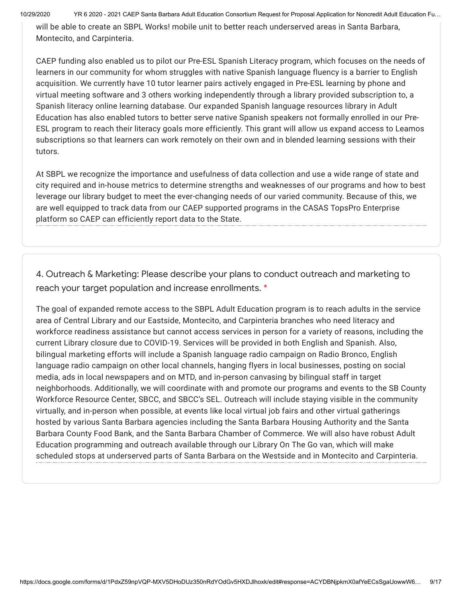10/29/2020 YR 6 2020 - 2021 CAEP Santa Barbara Adult Education Consortium Request for Proposal Application for Noncredit Adult Education Fu…

will be able to create an SBPL Works! mobile unit to better reach underserved areas in Santa Barbara, Montecito, and Carpinteria.

CAEP funding also enabled us to pilot our Pre-ESL Spanish Literacy program, which focuses on the needs of learners in our community for whom struggles with native Spanish language fluency is a barrier to English acquisition. We currently have 10 tutor learner pairs actively engaged in Pre-ESL learning by phone and virtual meeting software and 3 others working independently through a library provided subscription to, a Spanish literacy online learning database. Our expanded Spanish language resources library in Adult Education has also enabled tutors to better serve native Spanish speakers not formally enrolled in our Pre-ESL program to reach their literacy goals more efficiently. This grant will allow us expand access to Leamos subscriptions so that learners can work remotely on their own and in blended learning sessions with their tutors.

At SBPL we recognize the importance and usefulness of data collection and use a wide range of state and city required and in-house metrics to determine strengths and weaknesses of our programs and how to best leverage our library budget to meet the ever-changing needs of our varied community. Because of this, we are well equipped to track data from our CAEP supported programs in the CASAS TopsPro Enterprise platform so CAEP can efficiently report data to the State.

4. Outreach & Marketing: Please describe your plans to conduct outreach and marketing to reach your target population and increase enrollments. \*

The goal of expanded remote access to the SBPL Adult Education program is to reach adults in the service area of Central Library and our Eastside, Montecito, and Carpinteria branches who need literacy and workforce readiness assistance but cannot access services in person for a variety of reasons, including the current Library closure due to COVID-19. Services will be provided in both English and Spanish. Also, bilingual marketing efforts will include a Spanish language radio campaign on Radio Bronco, English language radio campaign on other local channels, hanging flyers in local businesses, posting on social media, ads in local newspapers and on MTD, and in-person canvasing by bilingual staff in target neighborhoods. Additionally, we will coordinate with and promote our programs and events to the SB County Workforce Resource Center, SBCC, and SBCC's SEL. Outreach will include staying visible in the community virtually, and in-person when possible, at events like local virtual job fairs and other virtual gatherings hosted by various Santa Barbara agencies including the Santa Barbara Housing Authority and the Santa Barbara County Food Bank, and the Santa Barbara Chamber of Commerce. We will also have robust Adult Education programming and outreach available through our Library On The Go van, which will make scheduled stops at underserved parts of Santa Barbara on the Westside and in Montecito and Carpinteria.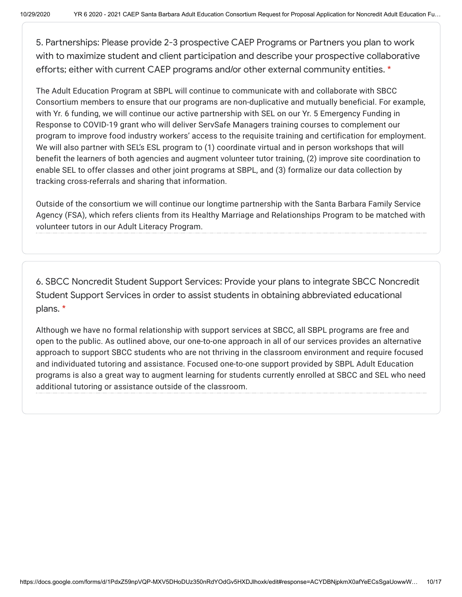5. Partnerships: Please provide 2-3 prospective CAEP Programs or Partners you plan to work with to maximize student and client participation and describe your prospective collaborative efforts; either with current CAEP programs and/or other external community entities. \*

The Adult Education Program at SBPL will continue to communicate with and collaborate with SBCC Consortium members to ensure that our programs are non-duplicative and mutually beneficial. For example, with Yr. 6 funding, we will continue our active partnership with SEL on our Yr. 5 Emergency Funding in Response to COVID-19 grant who will deliver ServSafe Managers training courses to complement our program to improve food industry workers' access to the requisite training and certification for employment. We will also partner with SEL's ESL program to (1) coordinate virtual and in person workshops that will benefit the learners of both agencies and augment volunteer tutor training, (2) improve site coordination to enable SEL to offer classes and other joint programs at SBPL, and (3) formalize our data collection by tracking cross-referrals and sharing that information.

Outside of the consortium we will continue our longtime partnership with the Santa Barbara Family Service Agency (FSA), which refers clients from its Healthy Marriage and Relationships Program to be matched with volunteer tutors in our Adult Literacy Program.

6. SBCC Noncredit Student Support Services: Provide your plans to integrate SBCC Noncredit Student Support Services in order to assist students in obtaining abbreviated educational plans. \*

Although we have no formal relationship with support services at SBCC, all SBPL programs are free and open to the public. As outlined above, our one-to-one approach in all of our services provides an alternative approach to support SBCC students who are not thriving in the classroom environment and require focused and individuated tutoring and assistance. Focused one-to-one support provided by SBPL Adult Education programs is also a great way to augment learning for students currently enrolled at SBCC and SEL who need additional tutoring or assistance outside of the classroom.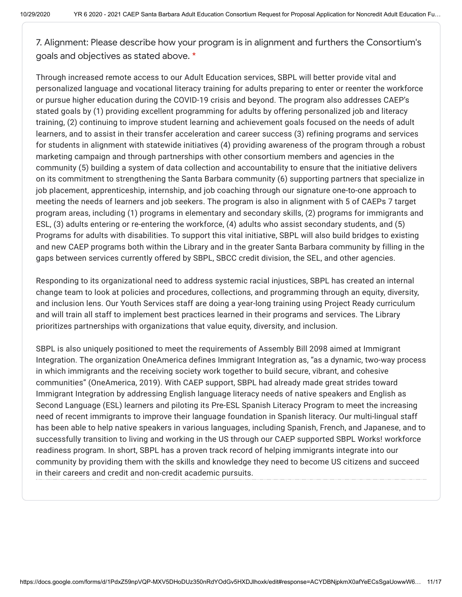7. Alignment: Please describe how your program is in alignment and furthers the Consortium's goals and objectives as stated above. \*

Through increased remote access to our Adult Education services, SBPL will better provide vital and personalized language and vocational literacy training for adults preparing to enter or reenter the workforce or pursue higher education during the COVID-19 crisis and beyond. The program also addresses CAEP's stated goals by (1) providing excellent programming for adults by offering personalized job and literacy training, (2) continuing to improve student learning and achievement goals focused on the needs of adult learners, and to assist in their transfer acceleration and career success (3) refining programs and services for students in alignment with statewide initiatives (4) providing awareness of the program through a robust marketing campaign and through partnerships with other consortium members and agencies in the community (5) building a system of data collection and accountability to ensure that the initiative delivers on its commitment to strengthening the Santa Barbara community (6) supporting partners that specialize in job placement, apprenticeship, internship, and job coaching through our signature one-to-one approach to meeting the needs of learners and job seekers. The program is also in alignment with 5 of CAEPs 7 target program areas, including (1) programs in elementary and secondary skills, (2) programs for immigrants and ESL, (3) adults entering or re-entering the workforce, (4) adults who assist secondary students, and (5) Programs for adults with disabilities. To support this vital initiative, SBPL will also build bridges to existing and new CAEP programs both within the Library and in the greater Santa Barbara community by filling in the gaps between services currently offered by SBPL, SBCC credit division, the SEL, and other agencies.

Responding to its organizational need to address systemic racial injustices, SBPL has created an internal change team to look at policies and procedures, collections, and programming through an equity, diversity, and inclusion lens. Our Youth Services staff are doing a year-long training using Project Ready curriculum and will train all staff to implement best practices learned in their programs and services. The Library prioritizes partnerships with organizations that value equity, diversity, and inclusion.

SBPL is also uniquely positioned to meet the requirements of Assembly Bill 2098 aimed at Immigrant Integration. The organization OneAmerica defines Immigrant Integration as, "as a dynamic, two-way process in which immigrants and the receiving society work together to build secure, vibrant, and cohesive communities" (OneAmerica, 2019). With CAEP support, SBPL had already made great strides toward Immigrant Integration by addressing English language literacy needs of native speakers and English as Second Language (ESL) learners and piloting its Pre-ESL Spanish Literacy Program to meet the increasing need of recent immigrants to improve their language foundation in Spanish literacy. Our multi-lingual staff has been able to help native speakers in various languages, including Spanish, French, and Japanese, and to successfully transition to living and working in the US through our CAEP supported SBPL Works! workforce readiness program. In short, SBPL has a proven track record of helping immigrants integrate into our community by providing them with the skills and knowledge they need to become US citizens and succeed in their careers and credit and non-credit academic pursuits.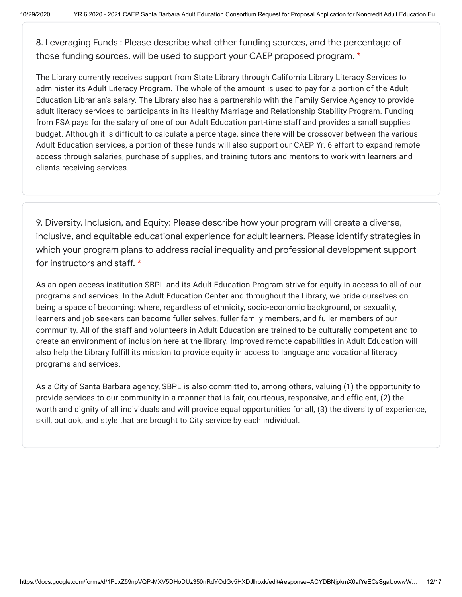8. Leveraging Funds : Please describe what other funding sources, and the percentage of those funding sources, will be used to support your CAEP proposed program. \*

The Library currently receives support from State Library through California Library Literacy Services to administer its Adult Literacy Program. The whole of the amount is used to pay for a portion of the Adult Education Librarian's salary. The Library also has a partnership with the Family Service Agency to provide adult literacy services to participants in its Healthy Marriage and Relationship Stability Program. Funding from FSA pays for the salary of one of our Adult Education part-time staff and provides a small supplies budget. Although it is difficult to calculate a percentage, since there will be crossover between the various Adult Education services, a portion of these funds will also support our CAEP Yr. 6 effort to expand remote access through salaries, purchase of supplies, and training tutors and mentors to work with learners and clients receiving services.

9. Diversity, Inclusion, and Equity: Please describe how your program will create a diverse, inclusive, and equitable educational experience for adult learners. Please identify strategies in which your program plans to address racial inequality and professional development support for instructors and staff. \*

As an open access institution SBPL and its Adult Education Program strive for equity in access to all of our programs and services. In the Adult Education Center and throughout the Library, we pride ourselves on being a space of becoming: where, regardless of ethnicity, socio-economic background, or sexuality, learners and job seekers can become fuller selves, fuller family members, and fuller members of our community. All of the staff and volunteers in Adult Education are trained to be culturally competent and to create an environment of inclusion here at the library. Improved remote capabilities in Adult Education will also help the Library fulfill its mission to provide equity in access to language and vocational literacy programs and services.

As a City of Santa Barbara agency, SBPL is also committed to, among others, valuing (1) the opportunity to provide services to our community in a manner that is fair, courteous, responsive, and efficient, (2) the worth and dignity of all individuals and will provide equal opportunities for all, (3) the diversity of experience, skill, outlook, and style that are brought to City service by each individual.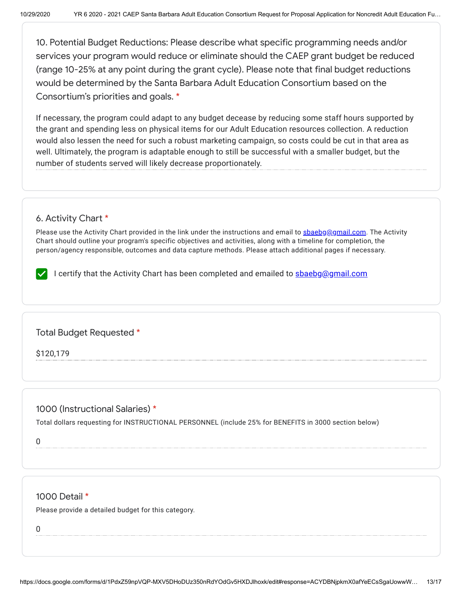10. Potential Budget Reductions: Please describe what specific programming needs and/or services your program would reduce or eliminate should the CAEP grant budget be reduced (range 10-25% at any point during the grant cycle). Please note that final budget reductions would be determined by the Santa Barbara Adult Education Consortium based on the Consortium's priorities and goals. \*

If necessary, the program could adapt to any budget decease by reducing some staff hours supported by the grant and spending less on physical items for our Adult Education resources collection. A reduction would also lessen the need for such a robust marketing campaign, so costs could be cut in that area as well. Ultimately, the program is adaptable enough to still be successful with a smaller budget, but the number of students served will likely decrease proportionately.

## 6. Activity Chart \*

Please use the Activity Chart provided in the link under the instructions and email to [sbaebg@gmail.com.](mailto:sbaebg@gmail.com) The Activity Chart should outline your program's specific objectives and activities, along with a timeline for completion, the person/agency responsible, outcomes and data capture methods. Please attach additional pages if necessary.

I certify that the Activity Chart has been completed and emailed to **[sbaebg@gmail.com](mailto:sbaebg@gmail.com)** 

Total Budget Requested \*

\$120,179

## 1000 (Instructional Salaries) \*

Total dollars requesting for INSTRUCTIONAL PERSONNEL (include 25% for BENEFITS in 3000 section below)

0

### 1000 Detail \*

Please provide a detailed budget for this category.

0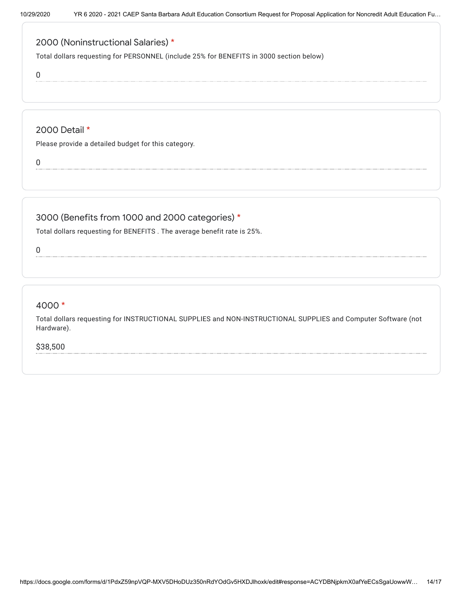# 2000 (Noninstructional Salaries) \*

Total dollars requesting for PERSONNEL (include 25% for BENEFITS in 3000 section below)

0

### 2000 Detail \*

Please provide a detailed budget for this category.

0

## 3000 (Benefits from 1000 and 2000 categories) \*

Total dollars requesting for BENEFITS . The average benefit rate is 25%.

0

## 4000 \*

Total dollars requesting for INSTRUCTIONAL SUPPLIES and NON-INSTRUCTIONAL SUPPLIES and Computer Software (not Hardware).

\$38,500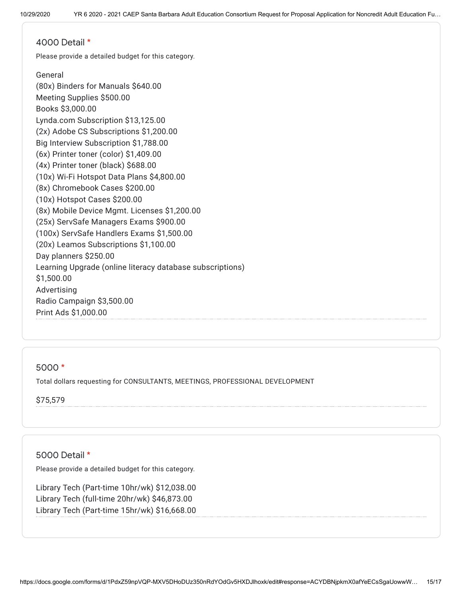#### 4000 Detail \*

Please provide a detailed budget for this category.

General (80x) Binders for Manuals \$640.00 Meeting Supplies \$500.00 Books \$3,000.00 Lynda.com Subscription \$13,125.00 (2x) Adobe CS Subscriptions \$1,200.00 Big Interview Subscription \$1,788.00 (6x) Printer toner (color) \$1,409.00 (4x) Printer toner (black) \$688.00 (10x) Wi-Fi Hotspot Data Plans \$4,800.00 (8x) Chromebook Cases \$200.00 (10x) Hotspot Cases \$200.00 (8x) Mobile Device Mgmt. Licenses \$1,200.00 (25x) ServSafe Managers Exams \$900.00 (100x) ServSafe Handlers Exams \$1,500.00 (20x) Leamos Subscriptions \$1,100.00 Day planners \$250.00 Learning Upgrade (online literacy database subscriptions) \$1,500.00 Advertising Radio Campaign \$3,500.00 Print Ads \$1,000.00

### 5000 \*

Total dollars requesting for CONSULTANTS, MEETINGS, PROFESSIONAL DEVELOPMENT

\$75,579

## 5000 Detail \*

Please provide a detailed budget for this category.

Library Tech (Part-time 10hr/wk) \$12,038.00 Library Tech (full-time 20hr/wk) \$46,873.00 Library Tech (Part-time 15hr/wk) \$16,668.00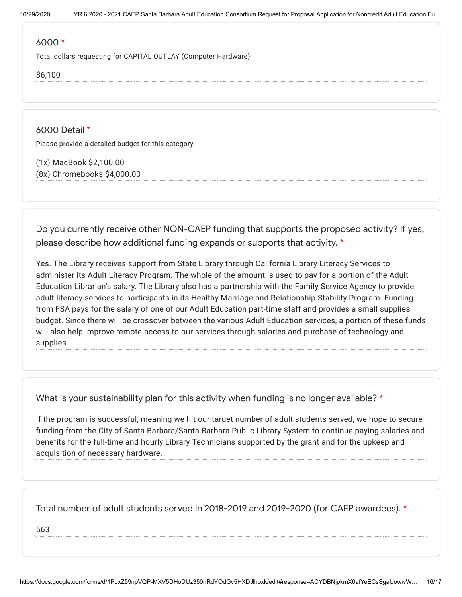#### 6000 \*

Total dollars requesting for CAPITAL OUTLAY (Computer Hardware)

\$6,100

6000 Detail \* Please provide a detailed budget for this category.

(1x) MacBook \$2,100.00 (8x) Chromebooks \$4,000.00

Do you currently receive other NON-CAEP funding that supports the proposed activity? If yes, please describe how additional funding expands or supports that activity. \*

Yes. The Library receives support from State Library through California Library Literacy Services to administer its Adult Literacy Program. The whole of the amount is used to pay for a portion of the Adult Education Librarian's salary. The Library also has a partnership with the Family Service Agency to provide adult literacy services to participants in its Healthy Marriage and Relationship Stability Program. Funding from FSA pays for the salary of one of our Adult Education part-time staff and provides a small supplies budget. Since there will be crossover between the various Adult Education services, a portion of these funds will also help improve remote access to our services through salaries and purchase of technology and supplies.

What is your sustainability plan for this activity when funding is no longer available? \*

If the program is successful, meaning we hit our target number of adult students served, we hope to secure funding from the City of Santa Barbara/Santa Barbara Public Library System to continue paying salaries and benefits for the full-time and hourly Library Technicians supported by the grant and for the upkeep and acquisition of necessary hardware.

Total number of adult students served in 2018-2019 and 2019-2020 (for CAEP awardees). \*

563